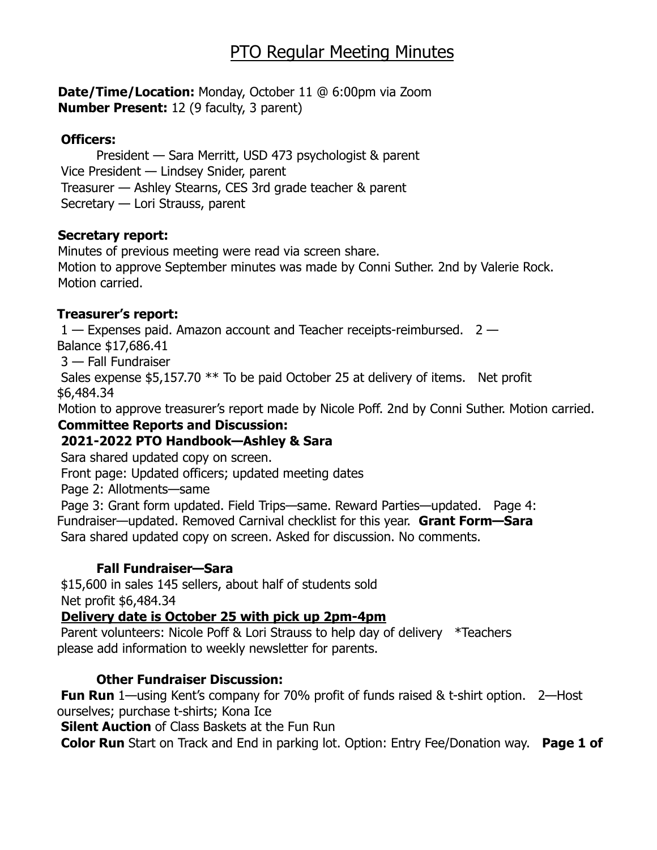# PTO Regular Meeting Minutes

**Date/Time/Location:** Monday, October 11 @ 6:00pm via Zoom **Number Present:** 12 (9 faculty, 3 parent)

#### **Officers:**

President — Sara Merritt, USD 473 psychologist & parent Vice President — Lindsey Snider, parent Treasurer — Ashley Stearns, CES 3rd grade teacher & parent Secretary — Lori Strauss, parent

#### **Secretary report:**

Minutes of previous meeting were read via screen share. Motion to approve September minutes was made by Conni Suther. 2nd by Valerie Rock. Motion carried.

## **Treasurer's report:**

 $1 -$  Expenses paid. Amazon account and Teacher receipts-reimbursed.  $2 -$ Balance \$17,686.41

3 — Fall Fundraiser

Sales expense \$5,157.70 \*\* To be paid October 25 at delivery of items. Net profit \$6,484.34

Motion to approve treasurer's report made by Nicole Poff. 2nd by Conni Suther. Motion carried.

## **Committee Reports and Discussion:**

## **2021-2022 PTO Handbook—Ashley & Sara**

Sara shared updated copy on screen.

Front page: Updated officers; updated meeting dates

Page 2: Allotments—same

Page 3: Grant form updated. Field Trips—same. Reward Parties—updated. Page 4: Fundraiser—updated. Removed Carnival checklist for this year. **Grant Form—Sara** Sara shared updated copy on screen. Asked for discussion. No comments.

## **Fall Fundraiser—Sara**

\$15,600 in sales 145 sellers, about half of students sold Net profit \$6,484.34

## **Delivery date is October 25 with pick up 2pm-4pm**

Parent volunteers: Nicole Poff & Lori Strauss to help day of delivery \*Teachers please add information to weekly newsletter for parents.

## **Other Fundraiser Discussion:**

**Fun Run** 1—using Kent's company for 70% profit of funds raised & t-shirt option. 2—Host ourselves; purchase t-shirts; Kona Ice

**Silent Auction** of Class Baskets at the Fun Run

**Color Run** Start on Track and End in parking lot. Option: Entry Fee/Donation way. **Page 1 of**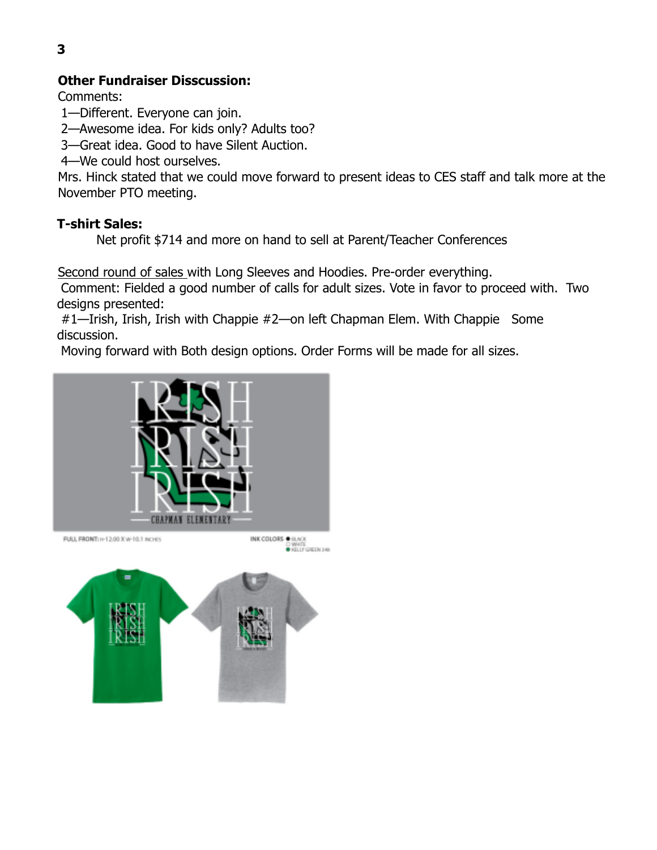# **Other Fundraiser Disscussion:**

Comments:

1—Different. Everyone can join.

2—Awesome idea. For kids only? Adults too?

3—Great idea. Good to have Silent Auction.

4—We could host ourselves.

Mrs. Hinck stated that we could move forward to present ideas to CES staff and talk more at the November PTO meeting.

# **T-shirt Sales:**

Net profit \$714 and more on hand to sell at Parent/Teacher Conferences

Second round of sales with Long Sleeves and Hoodies. Pre-order everything.

Comment: Fielded a good number of calls for adult sizes. Vote in favor to proceed with. Two designs presented:

#1—Irish, Irish, Irish with Chappie #2—on left Chapman Elem. With Chappie Some discussion.

Moving forward with Both design options. Order Forms will be made for all sizes.